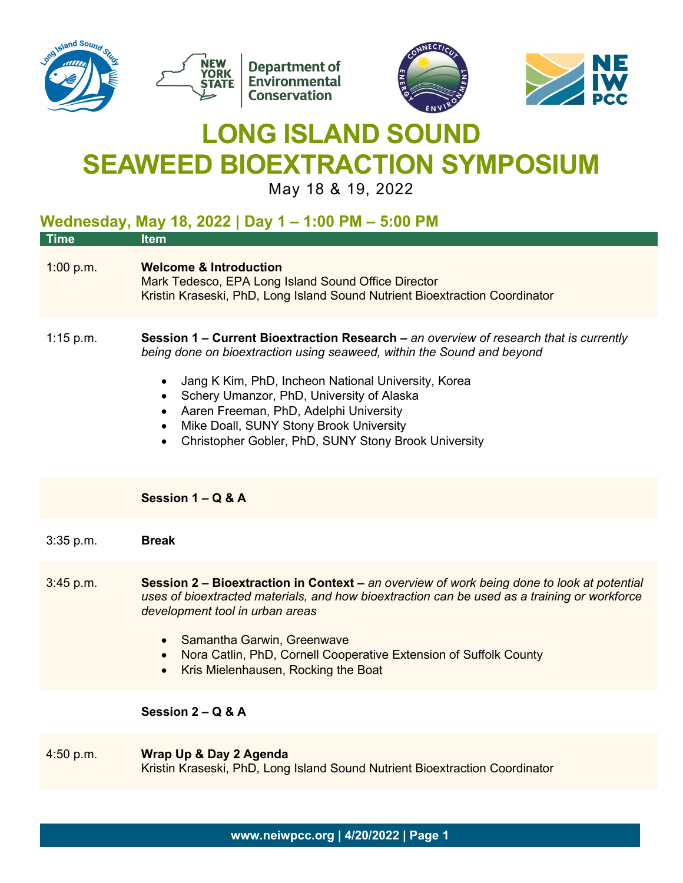



## **LONG ISLAND SOUND SEAWEED BIOEXTRACTION SYMPOSIUM**

May 18 & 19, 2022

|             | Wednesday, May 18, 2022   Day 1 – 1:00 PM – 5:00 PM                                                                                                                                                                                                                                                                                                                                                                                               |
|-------------|---------------------------------------------------------------------------------------------------------------------------------------------------------------------------------------------------------------------------------------------------------------------------------------------------------------------------------------------------------------------------------------------------------------------------------------------------|
| <b>Time</b> | <b>Item</b>                                                                                                                                                                                                                                                                                                                                                                                                                                       |
| 1:00 p.m.   | <b>Welcome &amp; Introduction</b><br>Mark Tedesco, EPA Long Island Sound Office Director<br>Kristin Kraseski, PhD, Long Island Sound Nutrient Bioextraction Coordinator                                                                                                                                                                                                                                                                           |
| $1:15$ p.m. | Session 1 – Current Bioextraction Research – an overview of research that is currently<br>being done on bioextraction using seaweed, within the Sound and beyond<br>Jang K Kim, PhD, Incheon National University, Korea<br>$\bullet$<br>• Schery Umanzor, PhD, University of Alaska<br>• Aaren Freeman, PhD, Adelphi University<br>• Mike Doall, SUNY Stony Brook University<br>Christopher Gobler, PhD, SUNY Stony Brook University<br>$\bullet$ |
|             | Session $1 - Q & A$                                                                                                                                                                                                                                                                                                                                                                                                                               |
| $3:35$ p.m. | <b>Break</b>                                                                                                                                                                                                                                                                                                                                                                                                                                      |
| 3:45 p.m.   | Session 2 – Bioextraction in Context – an overview of work being done to look at potential<br>uses of bioextracted materials, and how bioextraction can be used as a training or workforce<br>development tool in urban areas<br>• Samantha Garwin, Greenwave<br>• Nora Catlin, PhD, Cornell Cooperative Extension of Suffolk County<br>Kris Mielenhausen, Rocking the Boat                                                                       |
|             | Session $2 - Q & A$                                                                                                                                                                                                                                                                                                                                                                                                                               |
| 4:50 p.m.   | Wrap Up & Day 2 Agenda<br>Kristin Kraseski, PhD, Long Island Sound Nutrient Bioextraction Coordinator                                                                                                                                                                                                                                                                                                                                             |